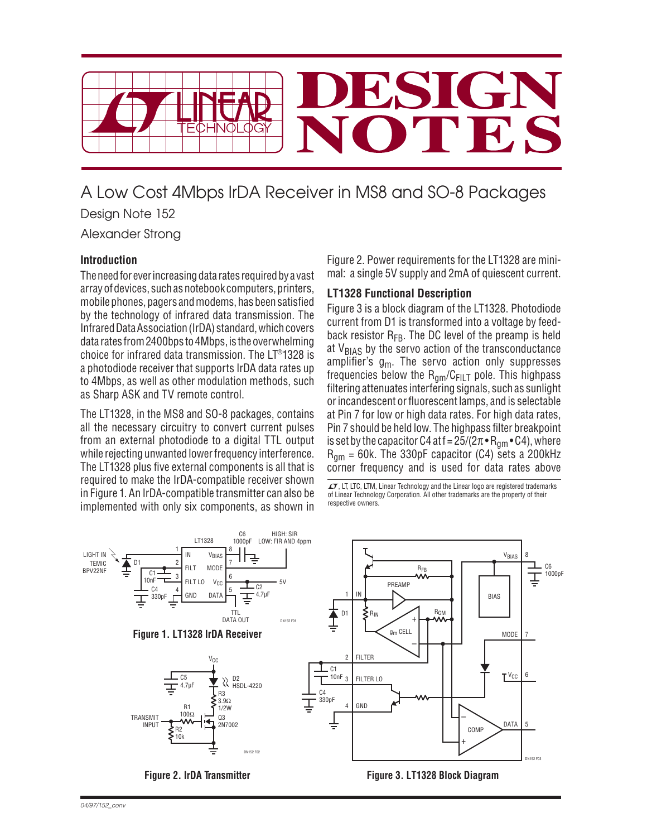

# A Low Cost 4Mbps IrDA Receiver in MS8 and SO-8 Packages Design Note 152

Alexander Strong

## **Introduction**

The need for ever increasing data rates required by a vast array of devices, such as notebook computers, printers, mobile phones, pagers and modems, has been satisfied by the technology of infrared data transmission. The Infrared Data Association (IrDA) standard, which covers data rates from 2400bps to 4Mbps, is the overwhelming choice for infrared data transmission. The LT®1328 is a photodiode receiver that supports IrDA data rates up to 4Mbps, as well as other modulation methods, such as Sharp ASK and TV remote control.

The LT1328, in the MS8 and SO-8 packages, contains all the necessary circuitry to convert current pulses from an external photodiode to a digital TTL output while rejecting unwanted lower frequency interference. The LT1328 plus five external components is all that is required to make the IrDA-compatible receiver shown in Figure 1. An IrDA-compatible transmitter can also be implemented with only six components, as shown in

Figure 2. Power requirements for the LT1328 are minimal: a single 5V supply and 2mA of quiescent current.

# **LT1328 Functional Description**

Figure 3 is a block diagram of the LT1328. Photodiode current from D1 is transformed into a voltage by feedback resistor  $R_{FB}$ . The DC level of the preamp is held at  $V_{BIAS}$  by the servo action of the transconductance amplifier's  $g_m$ . The servo action only suppresses frequencies below the  $R_{nm}/C_{FII}$  pole. This highpass filtering attenuates interfering signals, such as sunlight or incandescent or fluorescent lamps, and is selectable at Pin 7 for low or high data rates. For high data rates, Pin 7 should be held low. The highpass filter breakpoint is set by the capacitor C4 at f =  $25/(2\pi \cdot R_{\text{qm}} \cdot C4)$ , where  $R_{\text{nm}}$  = 60k. The 330pF capacitor (C4) sets a 200kHz corner frequency and is used for data rates above

 $\mathcal{I}$ , LT, LTC, LTM, Linear Technology and the Linear logo are registered trademarks of Linear Technology Corporation. All other trademarks are the property of their respective owners.